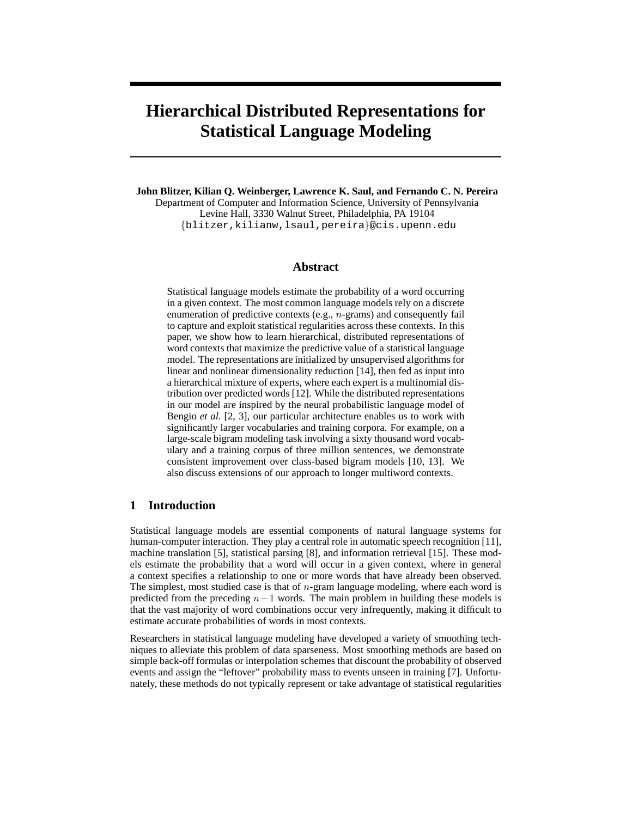# **Hierarchical Distributed Representations for Statistical Language Modeling**

**John Blitzer, Kilian Q. Weinberger, Lawrence K. Saul, and Fernando C. N. Pereira** Department of Computer and Information Science, University of Pennsylvania Levine Hall, 3330 Walnut Street, Philadelphia, PA 19104 {blitzer,kilianw,lsaul,pereira}@cis.upenn.edu

## **Abstract**

Statistical language models estimate the probability of a word occurring in a given context. The most common language models rely on a discrete enumeration of predictive contexts (e.g., n-grams) and consequently fail to capture and exploit statistical regularities across these contexts. In this paper, we show how to learn hierarchical, distributed representations of word contexts that maximize the predictive value of a statistical language model. The representations are initialized by unsupervised algorithms for linear and nonlinear dimensionality reduction [14], then fed as input into a hierarchical mixture of experts, where each expert is a multinomial distribution over predicted words [12]. While the distributed representations in our model are inspired by the neural probabilistic language model of Bengio *et al.* [2, 3], our particular architecture enables us to work with significantly larger vocabularies and training corpora. For example, on a large-scale bigram modeling task involving a sixty thousand word vocabulary and a training corpus of three million sentences, we demonstrate consistent improvement over class-based bigram models [10, 13]. We also discuss extensions of our approach to longer multiword contexts.

# **1 Introduction**

Statistical language models are essential components of natural language systems for human-computer interaction. They play a central role in automatic speech recognition [11], machine translation [5], statistical parsing [8], and information retrieval [15]. These models estimate the probability that a word will occur in a given context, where in general a context specifies a relationship to one or more words that have already been observed. The simplest, most studied case is that of *n*-gram language modeling, where each word is predicted from the preceding  $n-1$  words. The main problem in building these models is that the vast majority of word combinations occur very infrequently, making it difficult to estimate accurate probabilities of words in most contexts.

Researchers in statistical language modeling have developed a variety of smoothing techniques to alleviate this problem of data sparseness. Most smoothing methods are based on simple back-off formulas or interpolation schemes that discount the probability of observed events and assign the "leftover" probability mass to events unseen in training [7]. Unfortunately, these methods do not typically represent or take advantage of statistical regularities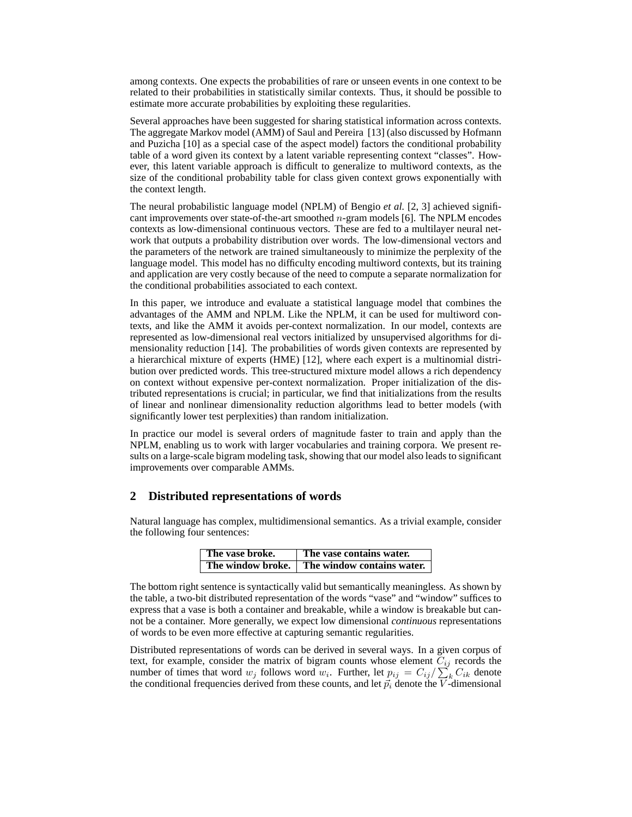among contexts. One expects the probabilities of rare or unseen events in one context to be related to their probabilities in statistically similar contexts. Thus, it should be possible to estimate more accurate probabilities by exploiting these regularities.

Several approaches have been suggested for sharing statistical information across contexts. The aggregate Markov model (AMM) of Saul and Pereira [13] (also discussed by Hofmann and Puzicha [10] as a special case of the aspect model) factors the conditional probability table of a word given its context by a latent variable representing context "classes". However, this latent variable approach is difficult to generalize to multiword contexts, as the size of the conditional probability table for class given context grows exponentially with the context length.

The neural probabilistic language model (NPLM) of Bengio *et al.* [2, 3] achieved significant improvements over state-of-the-art smoothed n-gram models [6]. The NPLM encodes contexts as low-dimensional continuous vectors. These are fed to a multilayer neural network that outputs a probability distribution over words. The low-dimensional vectors and the parameters of the network are trained simultaneously to minimize the perplexity of the language model. This model has no difficulty encoding multiword contexts, but its training and application are very costly because of the need to compute a separate normalization for the conditional probabilities associated to each context.

In this paper, we introduce and evaluate a statistical language model that combines the advantages of the AMM and NPLM. Like the NPLM, it can be used for multiword contexts, and like the AMM it avoids per-context normalization. In our model, contexts are represented as low-dimensional real vectors initialized by unsupervised algorithms for dimensionality reduction [14]. The probabilities of words given contexts are represented by a hierarchical mixture of experts (HME) [12], where each expert is a multinomial distribution over predicted words. This tree-structured mixture model allows a rich dependency on context without expensive per-context normalization. Proper initialization of the distributed representations is crucial; in particular, we find that initializations from the results of linear and nonlinear dimensionality reduction algorithms lead to better models (with significantly lower test perplexities) than random initialization.

In practice our model is several orders of magnitude faster to train and apply than the NPLM, enabling us to work with larger vocabularies and training corpora. We present results on a large-scale bigram modeling task, showing that our model also leads to significant improvements over comparable AMMs.

## **2 Distributed representations of words**

Natural language has complex, multidimensional semantics. As a trivial example, consider the following four sentences:

| The vase broke.   | The vase contains water.   |
|-------------------|----------------------------|
| The window broke. | The window contains water. |

The bottom right sentence is syntactically valid but semantically meaningless. As shown by the table, a two-bit distributed representation of the words "vase" and "window" suffices to express that a vase is both a container and breakable, while a window is breakable but cannot be a container. More generally, we expect low dimensional *continuous* representations of words to be even more effective at capturing semantic regularities.

Distributed representations of words can be derived in several ways. In a given corpus of text, for example, consider the matrix of bigram counts whose element  $C_{ij}$  records the number of times that word  $w_j$  follows word  $w_i$ . Further, let  $p_{ij} = C_{ij}/\sum_k C_{ik}$  denote the conditional frequencies derived from these counts, and let  $\vec{p}_i$  denote the V-dimensional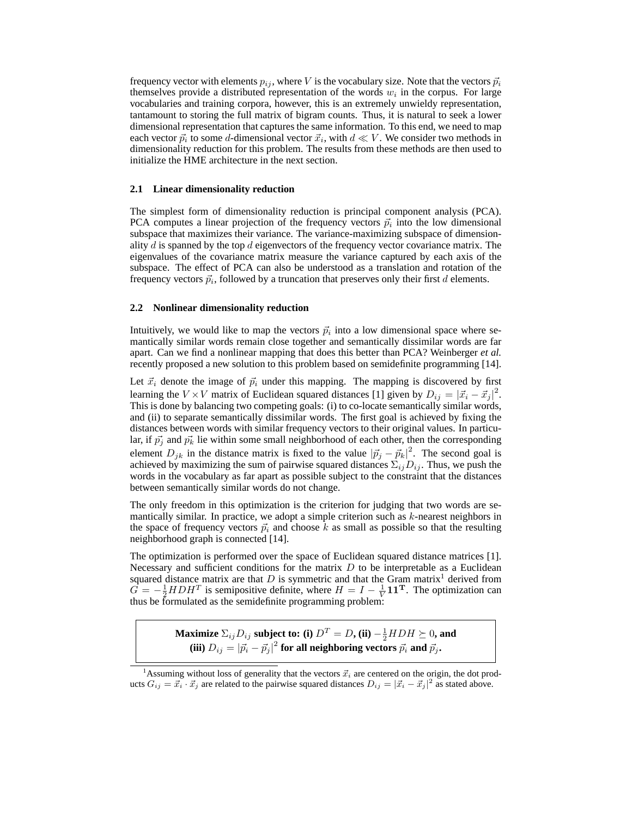frequency vector with elements  $p_{ij}$ , where V is the vocabulary size. Note that the vectors  $\vec{p}_i$ themselves provide a distributed representation of the words  $w_i$  in the corpus. For large vocabularies and training corpora, however, this is an extremely unwieldy representation, tantamount to storing the full matrix of bigram counts. Thus, it is natural to seek a lower dimensional representation that captures the same information. To this end, we need to map each vector  $\vec{p}_i$  to some d-dimensional vector  $\vec{x}_i$ , with  $d \ll V$ . We consider two methods in dimensionality reduction for this problem. The results from these methods are then used to initialize the HME architecture in the next section.

#### **2.1 Linear dimensionality reduction**

The simplest form of dimensionality reduction is principal component analysis (PCA). PCA computes a linear projection of the frequency vectors  $\vec{p}_i$  into the low dimensional subspace that maximizes their variance. The variance-maximizing subspace of dimensionality  $d$  is spanned by the top  $d$  eigenvectors of the frequency vector covariance matrix. The eigenvalues of the covariance matrix measure the variance captured by each axis of the subspace. The effect of PCA can also be understood as a translation and rotation of the frequency vectors  $\vec{p}_i$ , followed by a truncation that preserves only their first d elements.

#### **2.2 Nonlinear dimensionality reduction**

Intuitively, we would like to map the vectors  $\vec{p}_i$  into a low dimensional space where semantically similar words remain close together and semantically dissimilar words are far apart. Can we find a nonlinear mapping that does this better than PCA? Weinberger *et al.* recently proposed a new solution to this problem based on semidefinite programming [14].

Let  $\vec{x}_i$  denote the image of  $\vec{p}_i$  under this mapping. The mapping is discovered by first learning the  $V \times V$  matrix of Euclidean squared distances [1] given by  $D_{ij} = |\vec{x}_i - \vec{x}_j|^2$ . This is done by balancing two competing goals: (i) to co-locate semantically similar words, and (ii) to separate semantically dissimilar words. The first goal is achieved by fixing the distances between words with similar frequency vectors to their original values. In particular, if  $\vec{p}_j$  and  $\vec{p}_k$  lie within some small neighborhood of each other, then the corresponding element  $D_{jk}$  in the distance matrix is fixed to the value  $|\vec{p}_j - \vec{p}_k|^2$ . The second goal is achieved by maximizing the sum of pairwise squared distances  $\Sigma_{ij}D_{ij}$ . Thus, we push the words in the vocabulary as far apart as possible subject to the constraint that the distances between semantically similar words do not change.

The only freedom in this optimization is the criterion for judging that two words are semantically similar. In practice, we adopt a simple criterion such as  $k$ -nearest neighbors in the space of frequency vectors  $\vec{p}_i$  and choose k as small as possible so that the resulting neighborhood graph is connected [14].

The optimization is performed over the space of Euclidean squared distance matrices [1]. Necessary and sufficient conditions for the matrix  $D$  to be interpretable as a Euclidean squared distance matrix are that  $D$  is symmetric and that the Gram matrix<sup>1</sup> derived from  $\hat{G} = -\frac{1}{2} H D H^T$  is semipositive definite, where  $H = I - \frac{1}{V} \mathbf{1} \mathbf{1}^T$ . The optimization can thus be formulated as the semidefinite programming problem:

> **Maximize**  $\Sigma_{ij}D_{ij}$  subject to: (i)  $D^T = D$ , (ii)  $-\frac{1}{2}HDH \succeq 0$ , and (iii)  $D_{ij} = |\vec{p_i} - \vec{p_j}|^2$  for all neighboring vectors  $\vec{p_i}$  and  $\vec{p_j}$ .

<sup>&</sup>lt;sup>1</sup>Assuming without loss of generality that the vectors  $\vec{x}_i$  are centered on the origin, the dot products  $G_{ij} = \vec{x}_i \cdot \vec{x}_j$  are related to the pairwise squared distances  $D_{ij} = |\vec{x}_i - \vec{x}_j|^2$  as stated above.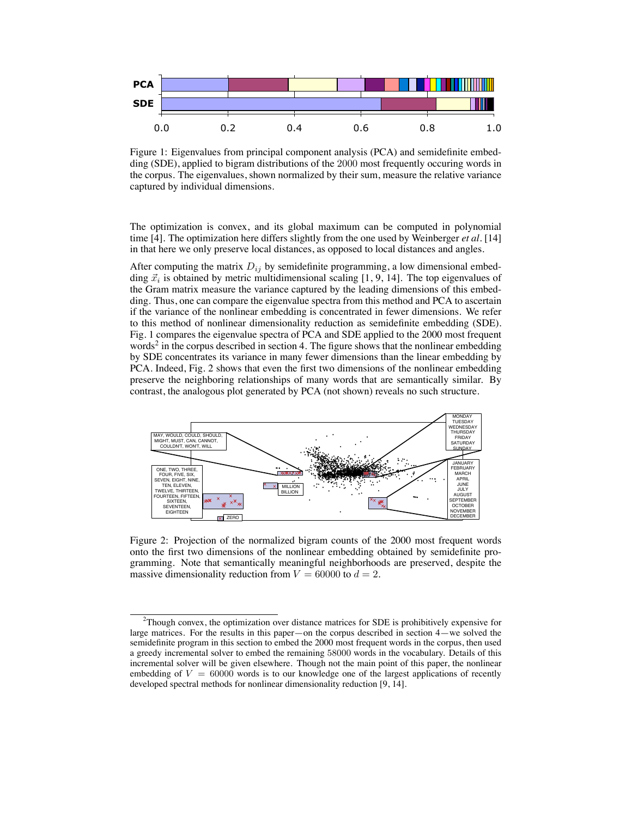

Figure 1: Eigenvalues from principal component analysis (PCA) and semidefinite embedding (SDE), applied to bigram distributions of the 2000 most frequently occuring words in the corpus. The eigenvalues, shown normalized by their sum, measure the relative variance captured by individual dimensions.

The optimization is convex, and its global maximum can be computed in polynomial time [4]. The optimization here differs slightly from the one used by Weinberger *et al.* [14] in that here we only preserve local distances, as opposed to local distances and angles.

After computing the matrix  $D_{ij}$  by semidefinite programming, a low dimensional embedding  $\vec{x}_i$  is obtained by metric multidimensional scaling [1, 9, 14]. The top eigenvalues of the Gram matrix measure the variance captured by the leading dimensions of this embedding. Thus, one can compare the eigenvalue spectra from this method and PCA to ascertain if the variance of the nonlinear embedding is concentrated in fewer dimensions. We refer to this method of nonlinear dimensionality reduction as semidefinite embedding (SDE). Fig. 1 compares the eigenvalue spectra of PCA and SDE applied to the 2000 most frequent words<sup>2</sup> in the corpus described in section 4. The figure shows that the nonlinear embedding by SDE concentrates its variance in many fewer dimensions than the linear embedding by PCA. Indeed, Fig. 2 shows that even the first two dimensions of the nonlinear embedding preserve the neighboring relationships of many words that are semantically similar. By contrast, the analogous plot generated by PCA (not shown) reveals no such structure.



Figure 2: Projection of the normalized bigram counts of the 2000 most frequent words onto the first two dimensions of the nonlinear embedding obtained by semidefinite programming. Note that semantically meaningful neighborhoods are preserved, despite the massive dimensionality reduction from  $V = 60000$  to  $d = 2$ .

 $2$ Though convex, the optimization over distance matrices for SDE is prohibitively expensive for large matrices. For the results in this paper—on the corpus described in section 4—we solved the semidefinite program in this section to embed the 2000 most frequent words in the corpus, then used a greedy incremental solver to embed the remaining 58000 words in the vocabulary. Details of this incremental solver will be given elsewhere. Though not the main point of this paper, the nonlinear embedding of  $V = 60000$  words is to our knowledge one of the largest applications of recently developed spectral methods for nonlinear dimensionality reduction [9, 14].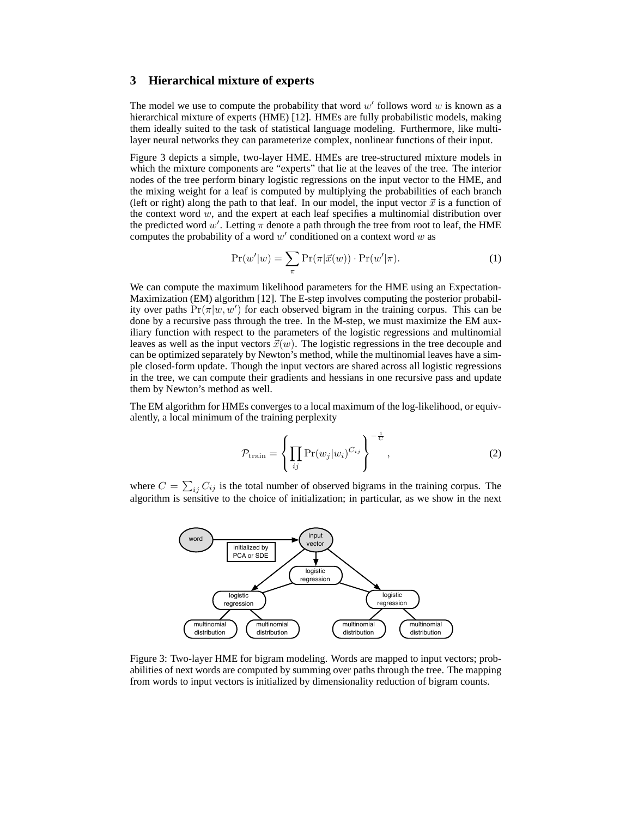## **3 Hierarchical mixture of experts**

The model we use to compute the probability that word  $w'$  follows word  $w$  is known as a hierarchical mixture of experts (HME) [12]. HMEs are fully probabilistic models, making them ideally suited to the task of statistical language modeling. Furthermore, like multilayer neural networks they can parameterize complex, nonlinear functions of their input.

Figure 3 depicts a simple, two-layer HME. HMEs are tree-structured mixture models in which the mixture components are "experts" that lie at the leaves of the tree. The interior nodes of the tree perform binary logistic regressions on the input vector to the HME, and the mixing weight for a leaf is computed by multiplying the probabilities of each branch (left or right) along the path to that leaf. In our model, the input vector  $\vec{x}$  is a function of the context word  $w$ , and the expert at each leaf specifies a multinomial distribution over the predicted word w'. Letting  $\pi$  denote a path through the tree from root to leaf, the HME computes the probability of a word  $w'$  conditioned on a context word  $w$  as

$$
\Pr(w'|w) = \sum_{\pi} \Pr(\pi|\vec{x}(w)) \cdot \Pr(w'|\pi). \tag{1}
$$

We can compute the maximum likelihood parameters for the HME using an Expectation-Maximization (EM) algorithm [12]. The E-step involves computing the posterior probability over paths  $Pr(\pi|w, w')$  for each observed bigram in the training corpus. This can be done by a recursive pass through the tree. In the M-step, we must maximize the EM auxiliary function with respect to the parameters of the logistic regressions and multinomial leaves as well as the input vectors  $\vec{x}(w)$ . The logistic regressions in the tree decouple and can be optimized separately by Newton's method, while the multinomial leaves have a simple closed-form update. Though the input vectors are shared across all logistic regressions in the tree, we can compute their gradients and hessians in one recursive pass and update them by Newton's method as well.

The EM algorithm for HMEs converges to a local maximum of the log-likelihood, or equivalently, a local minimum of the training perplexity

$$
\mathcal{P}_{\text{train}} = \left\{ \prod_{ij} \Pr(w_j | w_i)^{C_{ij}} \right\}^{-\frac{1}{C}},\tag{2}
$$

where  $C = \sum_{ij} C_{ij}$  is the total number of observed bigrams in the training corpus. The algorithm is sensitive to the choice of initialization; in particular, as we show in the next



Figure 3: Two-layer HME for bigram modeling. Words are mapped to input vectors; probabilities of next words are computed by summing over paths through the tree. The mapping from words to input vectors is initialized by dimensionality reduction of bigram counts.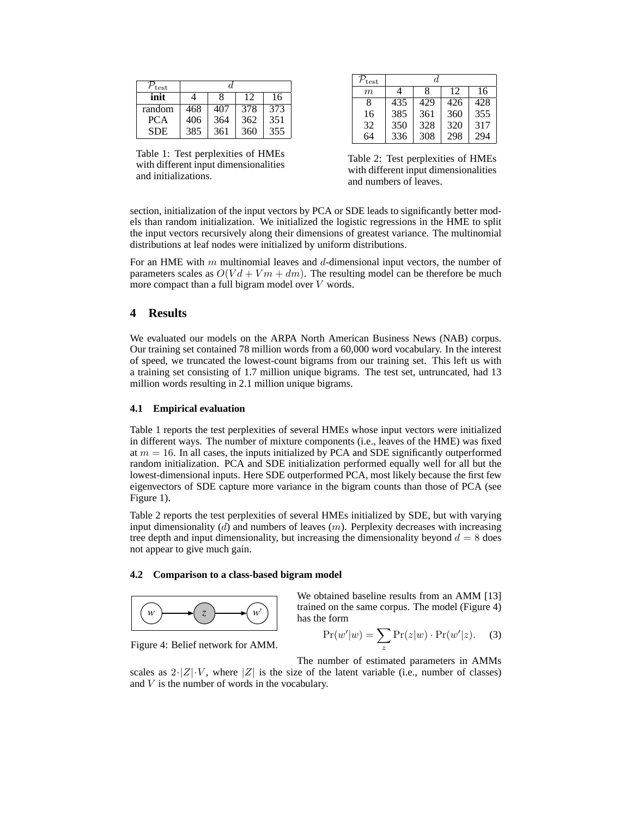| $P_{\rm test}$ |     |     |     |     |
|----------------|-----|-----|-----|-----|
| init           |     | 8   | 12  | 16  |
| random         | 468 | 407 | 378 | 373 |
| PCA.           | 406 | 364 | 362 | 351 |
| <b>SDE</b>     | 385 | 361 | 360 | 355 |

Table 1: Test perplexities of HMEs with different input dimensionalities and initializations.

| $\mathcal{P}_{\textrm{test}}$ | А.  |     |     |     |
|-------------------------------|-----|-----|-----|-----|
| m                             | 4   | 8   | 12  | 16  |
| 8                             | 435 | 429 | 426 | 428 |
| 16                            | 385 | 361 | 360 | 355 |
| 32                            | 350 | 328 | 320 | 317 |
| 64                            | 336 | 308 | 298 | 294 |

Table 2: Test perplexities of HMEs with different input dimensionalities and numbers of leaves.

section, initialization of the input vectors by PCA or SDE leads to significantly better models than random initialization. We initialized the logistic regressions in the HME to split the input vectors recursively along their dimensions of greatest variance. The multinomial distributions at leaf nodes were initialized by uniform distributions.

For an HME with m multinomial leaves and d-dimensional input vectors, the number of parameters scales as  $O(Vd + Vm + dm)$ . The resulting model can be therefore be much more compact than a full bigram model over  $V$  words.

## **4 Results**

We evaluated our models on the ARPA North American Business News (NAB) corpus. Our training set contained 78 million words from a 60,000 word vocabulary. In the interest of speed, we truncated the lowest-count bigrams from our training set. This left us with a training set consisting of 1.7 million unique bigrams. The test set, untruncated, had 13 million words resulting in 2.1 million unique bigrams.

### **4.1 Empirical evaluation**

Table 1 reports the test perplexities of several HMEs whose input vectors were initialized in different ways. The number of mixture components (i.e., leaves of the HME) was fixed at  $m = 16$ . In all cases, the inputs initialized by PCA and SDE significantly outperformed random initialization. PCA and SDE initialization performed equally well for all but the lowest-dimensional inputs. Here SDE outperformed PCA, most likely because the first few eigenvectors of SDE capture more variance in the bigram counts than those of PCA (see Figure 1).

Table 2 reports the test perplexities of several HMEs initialized by SDE, but with varying input dimensionality  $(d)$  and numbers of leaves  $(m)$ . Perplexity decreases with increasing tree depth and input dimensionality, but increasing the dimensionality beyond  $d = 8$  does not appear to give much gain.

#### **4.2 Comparison to a class-based bigram model**



trained on the same corpus. The model (Figure 4) has the form

$$
Pr(w'|w) = \sum_{z} Pr(z|w) \cdot Pr(w'|z). \tag{3}
$$

We obtained baseline results from an AMM [13]

Figure 4: Belief network for AMM.

The number of estimated parameters in AMMs scales as  $2\cdot|Z|\cdot V$ , where |Z| is the size of the latent variable (i.e., number of classes) and V is the number of words in the vocabulary.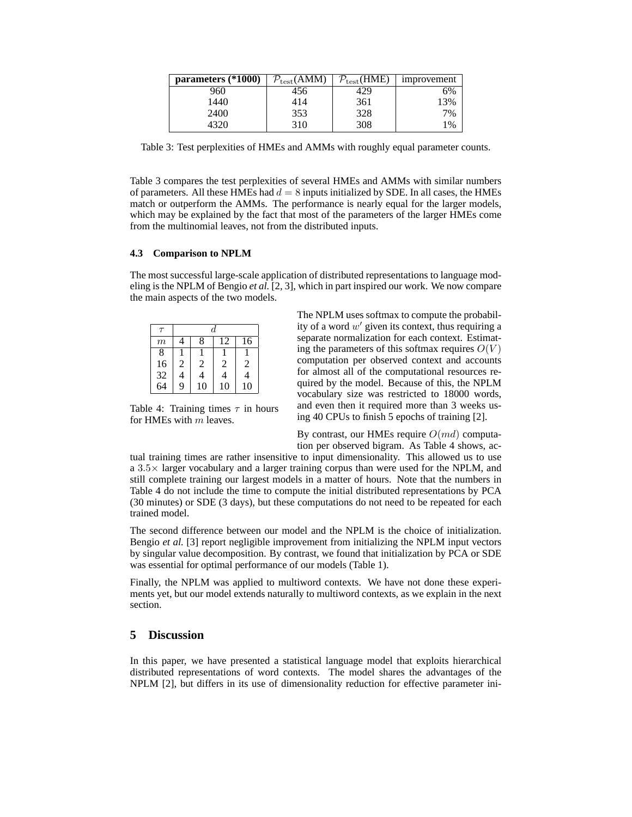| parameters (*1000) | $\mathcal{P}_{\text{test}}(\overline{\text{AMM}})$ | $P_{\text{test}}(\text{HME})$ | improvement |
|--------------------|----------------------------------------------------|-------------------------------|-------------|
| 960                | 456                                                | +29                           | 6%          |
| 1440               | 414                                                | 361                           | 13%         |
| 2400               | 353                                                | 328                           | 7%          |
| 4320               | 310                                                | 308                           | 1%          |

Table 3: Test perplexities of HMEs and AMMs with roughly equal parameter counts.

Table 3 compares the test perplexities of several HMEs and AMMs with similar numbers of parameters. All these HMEs had  $d = 8$  inputs initialized by SDE. In all cases, the HMEs match or outperform the AMMs. The performance is nearly equal for the larger models, which may be explained by the fact that most of the parameters of the larger HMEs come from the multinomial leaves, not from the distributed inputs.

#### **4.3 Comparison to NPLM**

The most successful large-scale application of distributed representations to language modeling is the NPLM of Bengio *et al.* [2, 3], which in part inspired our work. We now compare the main aspects of the two models.

| $\tau$           | d              |                         |    |                |
|------------------|----------------|-------------------------|----|----------------|
| $\boldsymbol{m}$ |                | 8                       | 12 | 16             |
| 8                |                |                         |    |                |
| 16               | $\overline{c}$ | 2                       | 2  | $\overline{c}$ |
| $\frac{32}{64}$  | $\overline{4}$ | $\overline{\mathbf{4}}$ | 4  | 4              |
|                  | $\overline{9}$ | 10                      | 10 | 10             |

Table 4: Training times  $\tau$  in hours for HMEs with  $m$  leaves.

The NPLM uses softmax to compute the probability of a word  $w'$  given its context, thus requiring a separate normalization for each context. Estimating the parameters of this softmax requires  $O(V)$ computation per observed context and accounts for almost all of the computational resources required by the model. Because of this, the NPLM vocabulary size was restricted to 18000 words, and even then it required more than 3 weeks using 40 CPUs to finish 5 epochs of training [2].

By contrast, our HMEs require  $O(md)$  computation per observed bigram. As Table 4 shows, ac-

tual training times are rather insensitive to input dimensionality. This allowed us to use a  $3.5\times$  larger vocabulary and a larger training corpus than were used for the NPLM, and still complete training our largest models in a matter of hours. Note that the numbers in Table 4 do not include the time to compute the initial distributed representations by PCA (30 minutes) or SDE (3 days), but these computations do not need to be repeated for each trained model.

The second difference between our model and the NPLM is the choice of initialization. Bengio *et al.* [3] report negligible improvement from initializing the NPLM input vectors by singular value decomposition. By contrast, we found that initialization by PCA or SDE was essential for optimal performance of our models (Table 1).

Finally, the NPLM was applied to multiword contexts. We have not done these experiments yet, but our model extends naturally to multiword contexts, as we explain in the next section.

# **5 Discussion**

In this paper, we have presented a statistical language model that exploits hierarchical distributed representations of word contexts. The model shares the advantages of the NPLM [2], but differs in its use of dimensionality reduction for effective parameter ini-